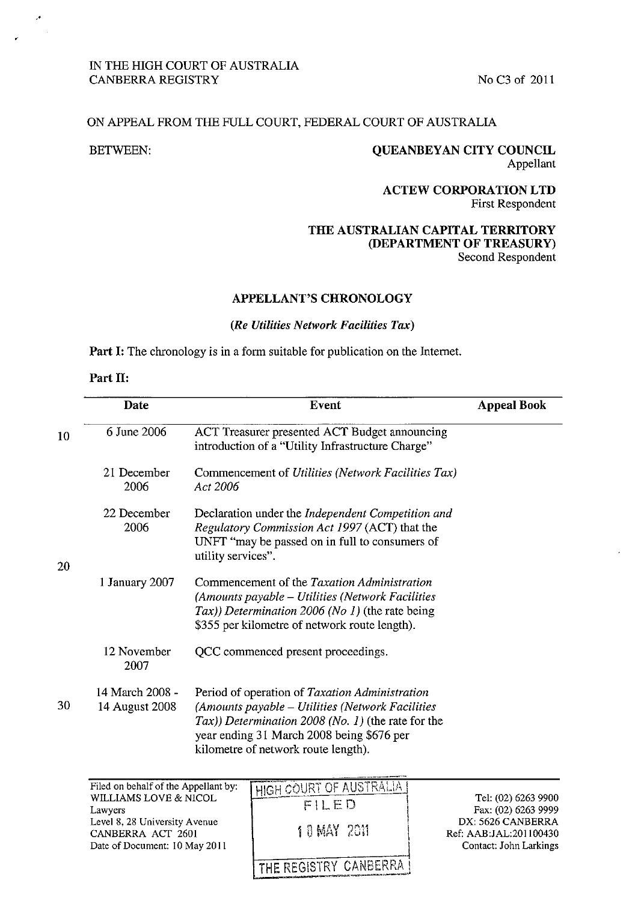# IN THE HIGH COURT OF AUSTRALIA CANBERRA REGISTRY No C3 of 2011

# ON APPEAL FROM THE FULL COURT, FEDERAL COURT OF AUSTRALIA

## BETWEEN: OUEANBEYAN CITY COUNCIL Appellant

## ACTEW CORPORATION LTD First Respondent

# THE AUSTRALIAN CAPITAL TERRITORY (DEPARTMENT OF TREASURY) Second Respondent

## APPELLANT'S CHRONOLOGY

#### *(Re Utilities Network Facilities Tax)*

Part I: The chronology is in a form suitable for publication on the Internet.

## Part II:

|    | <b>Date</b>                       | Event                                                                                                                                                                                                                                           | <b>Appeal Book</b> |
|----|-----------------------------------|-------------------------------------------------------------------------------------------------------------------------------------------------------------------------------------------------------------------------------------------------|--------------------|
| 10 | 6 June 2006                       | ACT Treasurer presented ACT Budget announcing<br>introduction of a "Utility Infrastructure Charge"                                                                                                                                              |                    |
|    | 21 December<br>2006               | Commencement of Utilities (Network Facilities Tax)<br>Act 2006                                                                                                                                                                                  |                    |
| 20 | 22 December<br>2006               | Declaration under the Independent Competition and<br>Regulatory Commission Act 1997 (ACT) that the<br>UNFT "may be passed on in full to consumers of<br>utility services".                                                                      |                    |
|    | 1 January 2007                    | Commencement of the Taxation Administration<br>(Amounts payable – Utilities (Network Facilities<br>Tax)) Determination 2006 (No 1) (the rate being<br>\$355 per kilometre of network route length).                                             |                    |
|    | 12 November<br>2007               | QCC commenced present proceedings.                                                                                                                                                                                                              |                    |
| 30 | 14 March 2008 -<br>14 August 2008 | Period of operation of Taxation Administration<br>(Amounts payable - Utilities (Network Facilities<br>$Tax)$ ) Determination 2008 (No. 1) (the rate for the<br>year ending 31 March 2008 being \$676 per<br>kilometre of network route length). |                    |
|    |                                   |                                                                                                                                                                                                                                                 |                    |

Filed on behalf of the Appellant by: WILLIAMS LOVE & NICOL Lawyers Level 8, 28 University Avenue CANBERRA ACT 2601 Date of Document: 10 May 2011

HIGH COURT OF AUSTRALIA

1 0 MAY 2011

THE REGISTRY CANBERRA

Tel: (02) 6263 9900 Fax: (02) 6263 9999 DX: 5626 CANBERRA Ref: AAB:JAL:201100430 Contact: John Larkings